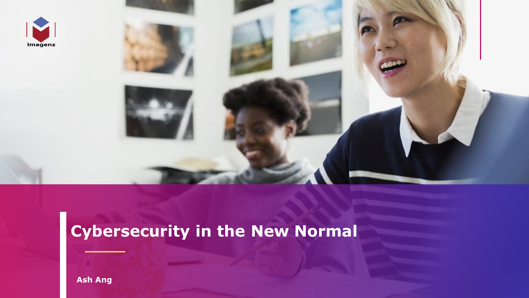



# **Cybersecurity in the New Normal**

**Ash Ang**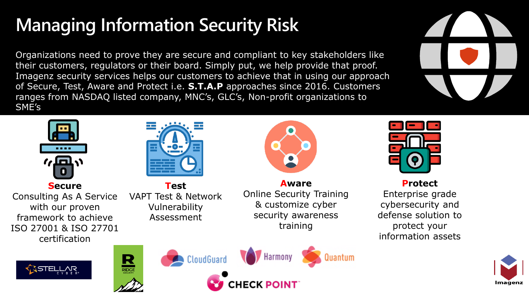# **Managing Information Security Risk**

Organizations need to prove they are secure and compliant to key stakeholders like their customers, regulators or their board. Simply put, we help provide that proof. Imagenz security services helps our customers to achieve that in using our approach of Secure, Test, Aware and Protect i.e. **S.T.A.P** approaches since 2016. Customers ranges from NASDAQ listed company, MNC's, GLC's, Non-profit organizations to SME's



**Secure** Consulting As A Service with our proven framework to achieve ISO 27001 & ISO 27701 certification



**Test** VAPT Test & Network Vulnerability Assessment

**Aware** Online Security Training & customize cyber security awareness training



**Protect** Enterprise grade cybersecurity and defense solution to protect your information assets









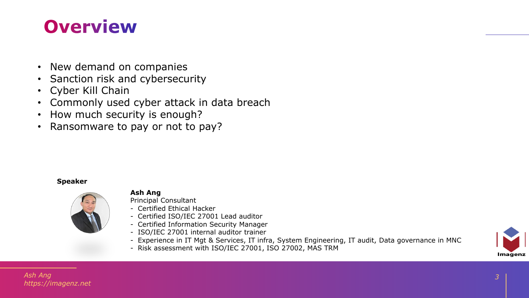## **Overview**

- New demand on companies
- Sanction risk and cybersecurity
- Cyber Kill Chain
- Commonly used cyber attack in data breach
- How much security is enough?
- Ransomware to pay or not to pay?

#### **Speaker**



#### **Ash Ang**

Principal Consultant

- Certified Ethical Hacker
- Certified ISO/IEC 27001 Lead auditor
- Certified Information Security Manager
- ISO/IEC 27001 internal auditor trainer
- Experience in IT Mgt & Services, IT infra, System Engineering, IT audit, Data governance in MNC
- Risk assessment with ISO/IEC 27001, ISO 27002, MAS TRM



*Ash Ang https://imagenz.net*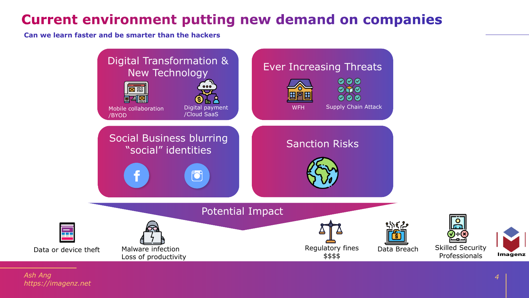## **Current environment putting new demand on companies**

**Can we learn faster and be smarter than the hackers**

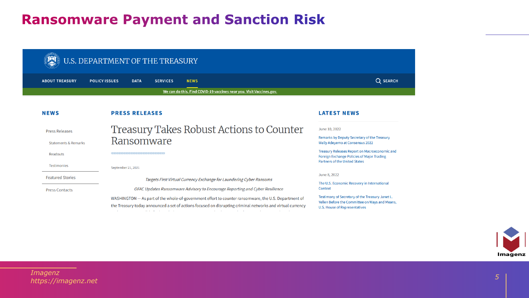### **Ransomware Payment and Sanction Risk**

| U.S. DEPARTMENT OF THE TREASURY |                                                                                                                                                                                                                                                                                                 |             |                 |             |                                                                      |                                                                                                                                           |
|---------------------------------|-------------------------------------------------------------------------------------------------------------------------------------------------------------------------------------------------------------------------------------------------------------------------------------------------|-------------|-----------------|-------------|----------------------------------------------------------------------|-------------------------------------------------------------------------------------------------------------------------------------------|
| <b>ABOUT TREASURY</b>           | <b>POLICY ISSUES</b>                                                                                                                                                                                                                                                                            | <b>DATA</b> | <b>SERVICES</b> | <b>NEWS</b> |                                                                      | Q SEARCH                                                                                                                                  |
|                                 |                                                                                                                                                                                                                                                                                                 |             |                 |             | We can do this. Find COVID-19 vaccines near you. Visit Vaccines.gov. |                                                                                                                                           |
| <b>NEWS</b>                     | <b>PRESS RELEASES</b>                                                                                                                                                                                                                                                                           |             |                 |             |                                                                      | <b>LATEST NEWS</b>                                                                                                                        |
| <b>Press Releases</b>           | Treasury Takes Robust Actions to Counter                                                                                                                                                                                                                                                        |             |                 |             |                                                                      | June 10, 2022                                                                                                                             |
| <b>Statements &amp; Remarks</b> | Ransomware                                                                                                                                                                                                                                                                                      |             |                 |             |                                                                      | Remarks by Deputy Secretary of the Treasury<br><b>Wally Adeyemo at Consensus 2022</b>                                                     |
| Readouts                        |                                                                                                                                                                                                                                                                                                 |             |                 |             |                                                                      | Treasury Releases Report on Macroeconomic and<br>Foreign Exchange Policies of Major Trading<br>Partners of the United States              |
| <b>Testimonies</b>              | September 21, 2021                                                                                                                                                                                                                                                                              |             |                 |             |                                                                      |                                                                                                                                           |
| <b>Featured Stories</b>         | Targets First Virtual Currency Exchange for Laundering Cyber Ransoms<br>OFAC Updates Ransomware Advisory to Encourage Reporting and Cyber Resilience                                                                                                                                            |             |                 |             |                                                                      | June 8, 2022                                                                                                                              |
| <b>Press Contacts</b>           |                                                                                                                                                                                                                                                                                                 |             |                 |             |                                                                      | The U.S. Economic Recovery in International<br>Context                                                                                    |
|                                 | WASHINGTON — As part of the whole-of-government effort to counter ransomware, the U.S. Department of<br>the Treasury today announced a set of actions focused on disrupting criminal networks and virtual currency<br>and the control of the control of the con-<br>service and the contract of |             |                 |             |                                                                      | Testimony of Secretary of the Treasury Janet L.<br>Yellen Before the Committee on Ways and Means,<br><b>U.S. House of Representatives</b> |

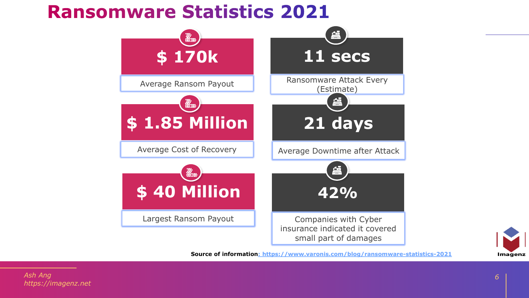## **Ransomware Statistics 2021**





**Source of information: https://www.varonis.com/blog/ransomware-statistics-2021**

*Ash Ang https://imagenz.net*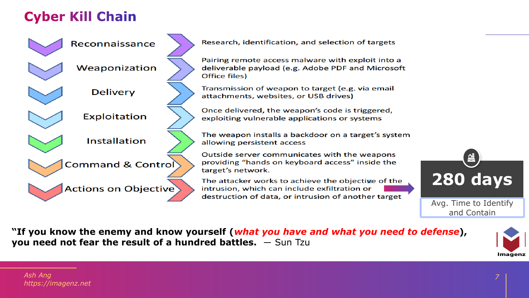## **Cyber Kill Chain**

Reconnaissance Weaponization **Delivery** Exploitation Installation **Command & Control Actions on Objective** 

Research, identification, and selection of targets

Pairing remote access malware with exploit into a deliverable payload (e.g. Adobe PDF and Microsoft Office files)

Transmission of weapon to target (e.g. via email attachments, websites, or USB drives)

Once delivered, the weapon's code is triggered, exploiting vulnerable applications or systems

The weapon installs a backdoor on a target's system allowing persistent access

Outside server communicates with the weapons providing "hands on keyboard access" inside the target's network.

The attacker works to achieve the objective of the intrusion, which can include exfiltration or destruction of data, or intrusion of another target



"If you know the enemy and know yourself (*what you have and what you need to defense*), you need not fear the result of a hundred battles. - Sun Tzu

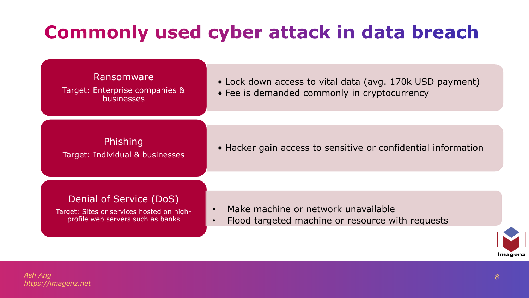# **Commonly used cyber attack in data breach**

#### Ransomware

Target: Enterprise companies & **businesses** 

Target: Individual & businesses

• Lock down access to vital data (avg. 170k USD payment) • Fee is demanded commonly in cryptocurrency

**Phishing** 

#### Denial of Service (DoS)

Target: Sites or services hosted on highprofile web servers such as banks

- Make machine or network unavailable
- Flood targeted machine or resource with requests

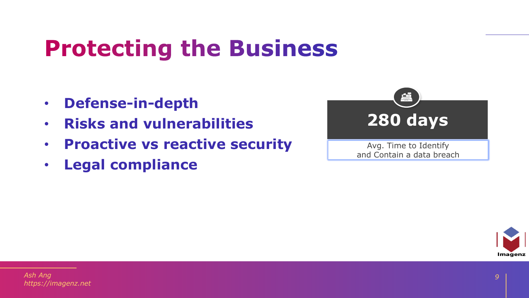# **Protecting the Business**

- **Defense-in-depth**
- **Risks and vulnerabilities**
- **Proactive vs reactive security**
- **Legal compliance**



Avg. Time to Identify and Contain a data breach

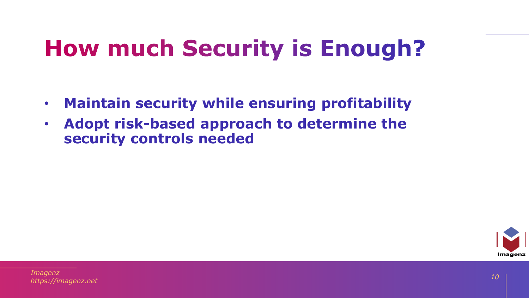# **How much Security is Enough?**

- **Maintain security while ensuring profitability**
- **Adopt risk-based approach to determine the security controls needed**

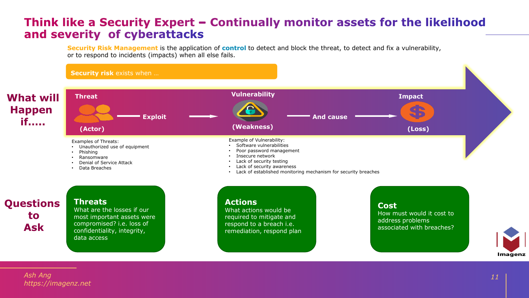#### Think like a Security Expert - Continually monitor assets for the likelihood and severity of cyberattacks

**Security Risk Management** is the application of **control** to detect and block the threat, to detect and fix a vulnerability, or to respond to incidents (impacts) when all else fails.



Imagenz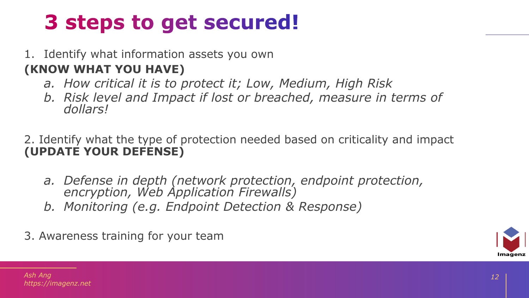# 3 steps to get secured!

### 1. Identify what information assets you own

### **(KNOW WHAT YOU HAVE)**

- *a. How critical it is to protect it; Low, Medium, High Risk*
- *b. Risk level and Impact if lost or breached, measure in terms of dollars!*

### 2. Identify what the type of protection needed based on criticality and impact **(UPDATE YOUR DEFENSE)**

- *a. Defense in depth (network protection, endpoint protection, encryption, Web Application Firewalls)*
- *b. Monitoring (e.g. Endpoint Detection & Response)*
- 3. Awareness training for your team

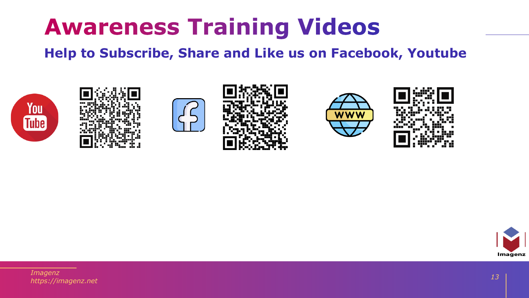# **Awareness Training Videos**

### **Help to Subscribe, Share and Like us on Facebook, Youtube**













*Imagenz https://imagenz.net*